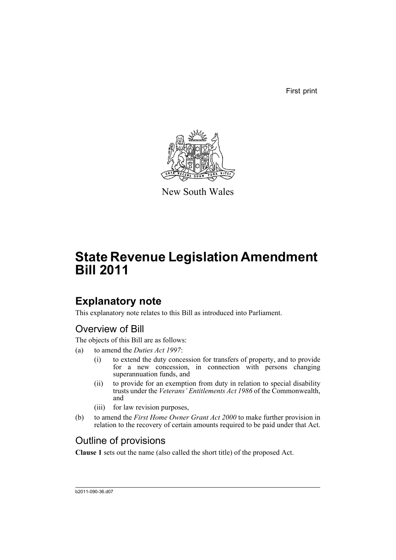First print



New South Wales

# **State Revenue Legislation Amendment Bill 2011**

## **Explanatory note**

This explanatory note relates to this Bill as introduced into Parliament.

## Overview of Bill

The objects of this Bill are as follows:

- (a) to amend the *Duties Act 1997*:
	- (i) to extend the duty concession for transfers of property, and to provide for a new concession, in connection with persons changing superannuation funds, and
	- (ii) to provide for an exemption from duty in relation to special disability trusts under the *Veterans' Entitlements Act 1986* of the Commonwealth, and
	- (iii) for law revision purposes,
- (b) to amend the *First Home Owner Grant Act 2000* to make further provision in relation to the recovery of certain amounts required to be paid under that Act.

## Outline of provisions

**Clause 1** sets out the name (also called the short title) of the proposed Act.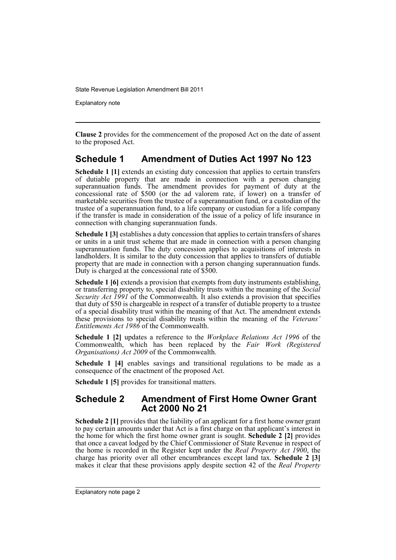Explanatory note

**Clause 2** provides for the commencement of the proposed Act on the date of assent to the proposed Act.

### **Schedule 1 Amendment of Duties Act 1997 No 123**

**Schedule 1 [1]** extends an existing duty concession that applies to certain transfers of dutiable property that are made in connection with a person changing superannuation funds. The amendment provides for payment of duty at the concessional rate of \$500 (or the ad valorem rate, if lower) on a transfer of marketable securities from the trustee of a superannuation fund, or a custodian of the trustee of a superannuation fund, to a life company or custodian for a life company if the transfer is made in consideration of the issue of a policy of life insurance in connection with changing superannuation funds.

**Schedule 1** [3] establishes a duty concession that applies to certain transfers of shares or units in a unit trust scheme that are made in connection with a person changing superannuation funds. The duty concession applies to acquisitions of interests in landholders. It is similar to the duty concession that applies to transfers of dutiable property that are made in connection with a person changing superannuation funds. Duty is charged at the concessional rate of \$500.

**Schedule 1 [6]** extends a provision that exempts from duty instruments establishing, or transferring property to, special disability trusts within the meaning of the *Social Security Act 1991* of the Commonwealth. It also extends a provision that specifies that duty of \$50 is chargeable in respect of a transfer of dutiable property to a trustee of a special disability trust within the meaning of that Act. The amendment extends these provisions to special disability trusts within the meaning of the *Veterans' Entitlements Act 1986* of the Commonwealth.

**Schedule 1 [2]** updates a reference to the *Workplace Relations Act 1996* of the Commonwealth, which has been replaced by the *Fair Work (Registered Organisations) Act 2009* of the Commonwealth.

Schedule 1 [4] enables savings and transitional regulations to be made as a consequence of the enactment of the proposed Act.

**Schedule 1 [5]** provides for transitional matters.

### **Schedule 2 Amendment of First Home Owner Grant Act 2000 No 21**

**Schedule 2 [1]** provides that the liability of an applicant for a first home owner grant to pay certain amounts under that Act is a first charge on that applicant's interest in the home for which the first home owner grant is sought. **Schedule 2 [2]** provides that once a caveat lodged by the Chief Commissioner of State Revenue in respect of the home is recorded in the Register kept under the *Real Property Act 1900*, the charge has priority over all other encumbrances except land tax. **Schedule 2 [3]** makes it clear that these provisions apply despite section 42 of the *Real Property*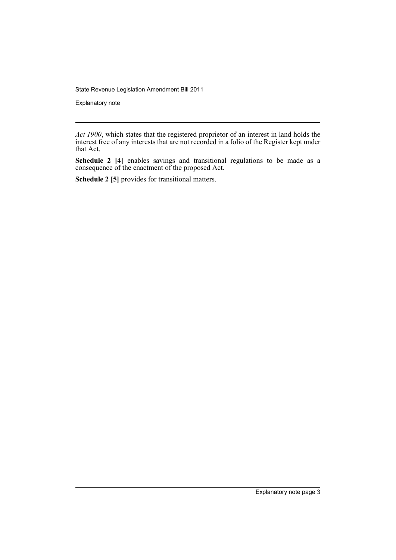Explanatory note

**Schedule 2 [4]** enables savings and transitional regulations to be made as a consequence of the enactment of the proposed Act.

**Schedule 2 [5]** provides for transitional matters.

*Act 1900*, which states that the registered proprietor of an interest in land holds the interest free of any interests that are not recorded in a folio of the Register kept under that Act.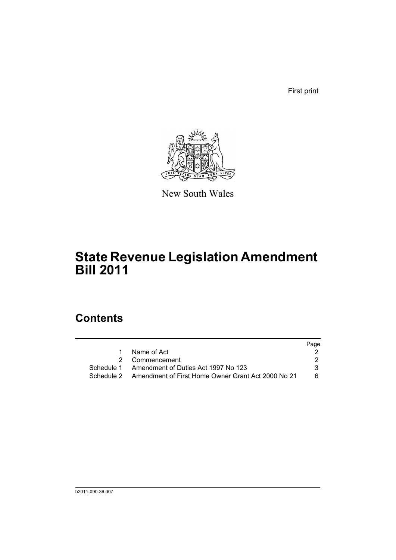First print



New South Wales

## **State Revenue Legislation Amendment Bill 2011**

## **Contents**

|   |                                                               | Page |
|---|---------------------------------------------------------------|------|
| 1 | Name of Act                                                   |      |
|   | 2 Commencement                                                |      |
|   | Schedule 1 Amendment of Duties Act 1997 No 123                |      |
|   | Schedule 2 Amendment of First Home Owner Grant Act 2000 No 21 | 6.   |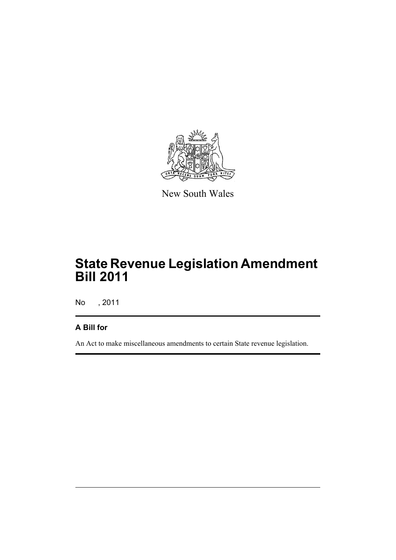

New South Wales

## **State Revenue Legislation Amendment Bill 2011**

No , 2011

### **A Bill for**

An Act to make miscellaneous amendments to certain State revenue legislation.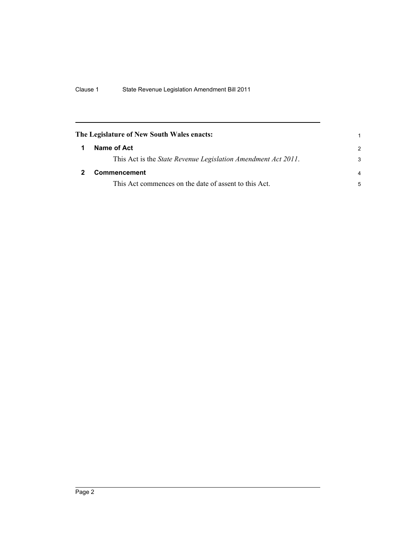<span id="page-7-1"></span><span id="page-7-0"></span>

| The Legislature of New South Wales enacts: |                                                                       |                |
|--------------------------------------------|-----------------------------------------------------------------------|----------------|
| 1                                          | Name of Act                                                           | $\mathcal{P}$  |
|                                            | This Act is the <i>State Revenue Legislation Amendment Act 2011</i> . | 3              |
|                                            | <b>Commencement</b>                                                   | $\overline{a}$ |
|                                            | This Act commences on the date of assent to this Act.                 | 5              |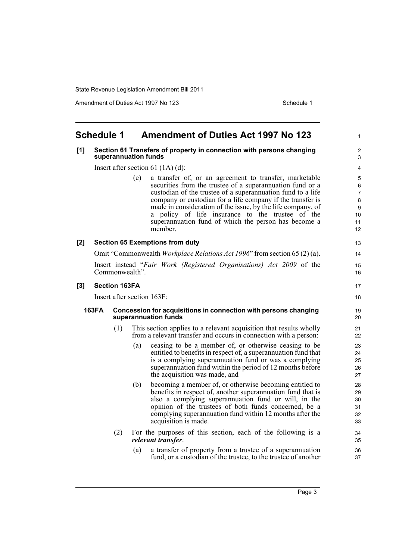Amendment of Duties Act 1997 No 123 Schedule 1

1

### <span id="page-8-0"></span>**Schedule 1 Amendment of Duties Act 1997 No 123**

### **[1] Section 61 Transfers of property in connection with persons changing superannuation funds**

Insert after section 61 (1A) (d):

(e) a transfer of, or an agreement to transfer, marketable securities from the trustee of a superannuation fund or a custodian of the trustee of a superannuation fund to a life company or custodian for a life company if the transfer is made in consideration of the issue, by the life company, of a policy of life insurance to the trustee of the superannuation fund of which the person has become a member.

### **[2] Section 65 Exemptions from duty**

Omit "Commonwealth *Workplace Relations Act 1996*" from section 65 (2) (a).

Insert instead "*Fair Work (Registered Organisations) Act 2009* of the Commonwealth".

### **[3] Section 163FA**

Insert after section 163F:

#### **163FA Concession for acquisitions in connection with persons changing superannuation funds**

- (1) This section applies to a relevant acquisition that results wholly from a relevant transfer and occurs in connection with a person:
	- (a) ceasing to be a member of, or otherwise ceasing to be entitled to benefits in respect of, a superannuation fund that is a complying superannuation fund or was a complying superannuation fund within the period of 12 months before the acquisition was made, and
	- (b) becoming a member of, or otherwise becoming entitled to benefits in respect of, another superannuation fund that is also a complying superannuation fund or will, in the opinion of the trustees of both funds concerned, be a complying superannuation fund within 12 months after the acquisition is made.
- (2) For the purposes of this section, each of the following is a *relevant transfer*:
	- (a) a transfer of property from a trustee of a superannuation fund, or a custodian of the trustee, to the trustee of another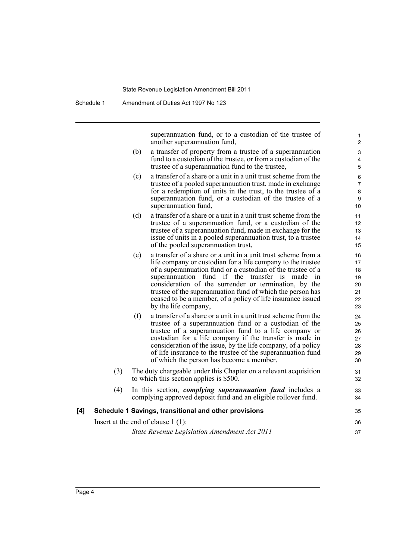superannuation fund, or to a custodian of the trustee of another superannuation fund,

- (b) a transfer of property from a trustee of a superannuation fund to a custodian of the trustee, or from a custodian of the trustee of a superannuation fund to the trustee,
- (c) a transfer of a share or a unit in a unit trust scheme from the trustee of a pooled superannuation trust, made in exchange for a redemption of units in the trust, to the trustee of a superannuation fund, or a custodian of the trustee of a superannuation fund,
- (d) a transfer of a share or a unit in a unit trust scheme from the trustee of a superannuation fund, or a custodian of the trustee of a superannuation fund, made in exchange for the issue of units in a pooled superannuation trust, to a trustee of the pooled superannuation trust,
- (e) a transfer of a share or a unit in a unit trust scheme from a life company or custodian for a life company to the trustee of a superannuation fund or a custodian of the trustee of a superannuation fund if the transfer is made in consideration of the surrender or termination, by the trustee of the superannuation fund of which the person has ceased to be a member, of a policy of life insurance issued by the life company,
- (f) a transfer of a share or a unit in a unit trust scheme from the trustee of a superannuation fund or a custodian of the trustee of a superannuation fund to a life company or custodian for a life company if the transfer is made in consideration of the issue, by the life company, of a policy of life insurance to the trustee of the superannuation fund of which the person has become a member.
- (3) The duty chargeable under this Chapter on a relevant acquisition to which this section applies is \$500.
- (4) In this section, *complying superannuation fund* includes a complying approved deposit fund and an eligible rollover fund.

#### **[4] Schedule 1 Savings, transitional and other provisions**

Insert at the end of clause 1 (1):

*State Revenue Legislation Amendment Act 2011*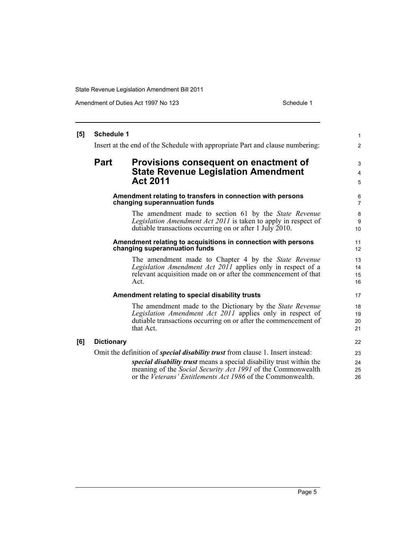Amendment of Duties Act 1997 No 123 Schedule 1

| [5] | <b>Schedule 1</b>                                                             |                                                                                                                                                                                                           | $\mathbf{1}$         |
|-----|-------------------------------------------------------------------------------|-----------------------------------------------------------------------------------------------------------------------------------------------------------------------------------------------------------|----------------------|
|     | Insert at the end of the Schedule with appropriate Part and clause numbering: |                                                                                                                                                                                                           | 2                    |
|     | <b>Part</b>                                                                   | Provisions consequent on enactment of                                                                                                                                                                     | 3                    |
|     |                                                                               | <b>State Revenue Legislation Amendment</b><br><b>Act 2011</b>                                                                                                                                             | $\overline{4}$<br>5  |
|     |                                                                               | Amendment relating to transfers in connection with persons<br>changing superannuation funds                                                                                                               | 6<br>$\overline{7}$  |
|     |                                                                               | The amendment made to section 61 by the <i>State Revenue</i><br><i>Legislation Amendment Act 2011</i> is taken to apply in respect of<br>dutiable transactions occurring on or after 1 July 2010.         | 8<br>9<br>10         |
|     |                                                                               | Amendment relating to acquisitions in connection with persons<br>changing superannuation funds                                                                                                            | 11<br>12             |
|     |                                                                               | The amendment made to Chapter 4 by the <i>State Revenue</i><br>Legislation Amendment Act 2011 applies only in respect of a<br>relevant acquisition made on or after the commencement of that<br>Act.      | 13<br>14<br>15<br>16 |
|     |                                                                               | Amendment relating to special disability trusts                                                                                                                                                           | 17                   |
|     |                                                                               | The amendment made to the Dictionary by the State Revenue<br>Legislation Amendment Act 2011 applies only in respect of<br>dutiable transactions occurring on or after the commencement of<br>that Act.    | 18<br>19<br>20<br>21 |
| [6] | <b>Dictionary</b>                                                             |                                                                                                                                                                                                           | 22                   |
|     |                                                                               | Omit the definition of <i>special disability trust</i> from clause 1. Insert instead:                                                                                                                     | 23                   |
|     |                                                                               | <i>special disability trust</i> means a special disability trust within the<br>meaning of the Social Security Act 1991 of the Commonwealth<br>or the Veterans' Entitlements Act 1986 of the Commonwealth. | 24<br>25<br>26       |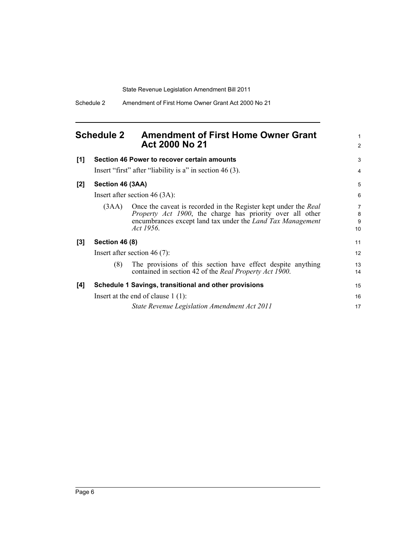<span id="page-11-0"></span>

| <b>Schedule 2</b> | <b>Amendment of First Home Owner Grant</b> |
|-------------------|--------------------------------------------|
|                   | <b>Act 2000 No 21</b>                      |

| [1]   |                                      | Section 46 Power to recover certain amounts                                                                                                                                                                            | 3                              |
|-------|--------------------------------------|------------------------------------------------------------------------------------------------------------------------------------------------------------------------------------------------------------------------|--------------------------------|
|       |                                      | Insert "first" after "liability is a" in section $46(3)$ .                                                                                                                                                             | 4                              |
| $[2]$ | Section 46 (3AA)                     |                                                                                                                                                                                                                        | 5                              |
|       |                                      | Insert after section $46(3A)$ :                                                                                                                                                                                        | 6                              |
|       | (3AA)                                | Once the caveat is recorded in the Register kept under the Real<br><i>Property Act 1900</i> , the charge has priority over all other<br>encumbrances except land tax under the <i>Land Tax Management</i><br>Act 1956. | $\overline{7}$<br>8<br>9<br>10 |
| $[3]$ | <b>Section 46 (8)</b>                |                                                                                                                                                                                                                        | 11                             |
|       | Insert after section 46 $(7)$ :      |                                                                                                                                                                                                                        | 12                             |
|       | (8)                                  | The provisions of this section have effect despite anything<br>contained in section 42 of the Real Property Act 1900.                                                                                                  | 13<br>14                       |
| [4]   |                                      | Schedule 1 Savings, transitional and other provisions                                                                                                                                                                  | 15                             |
|       | Insert at the end of clause $1(1)$ : |                                                                                                                                                                                                                        | 16                             |
|       |                                      | State Revenue Legislation Amendment Act 2011                                                                                                                                                                           | 17                             |

1 2